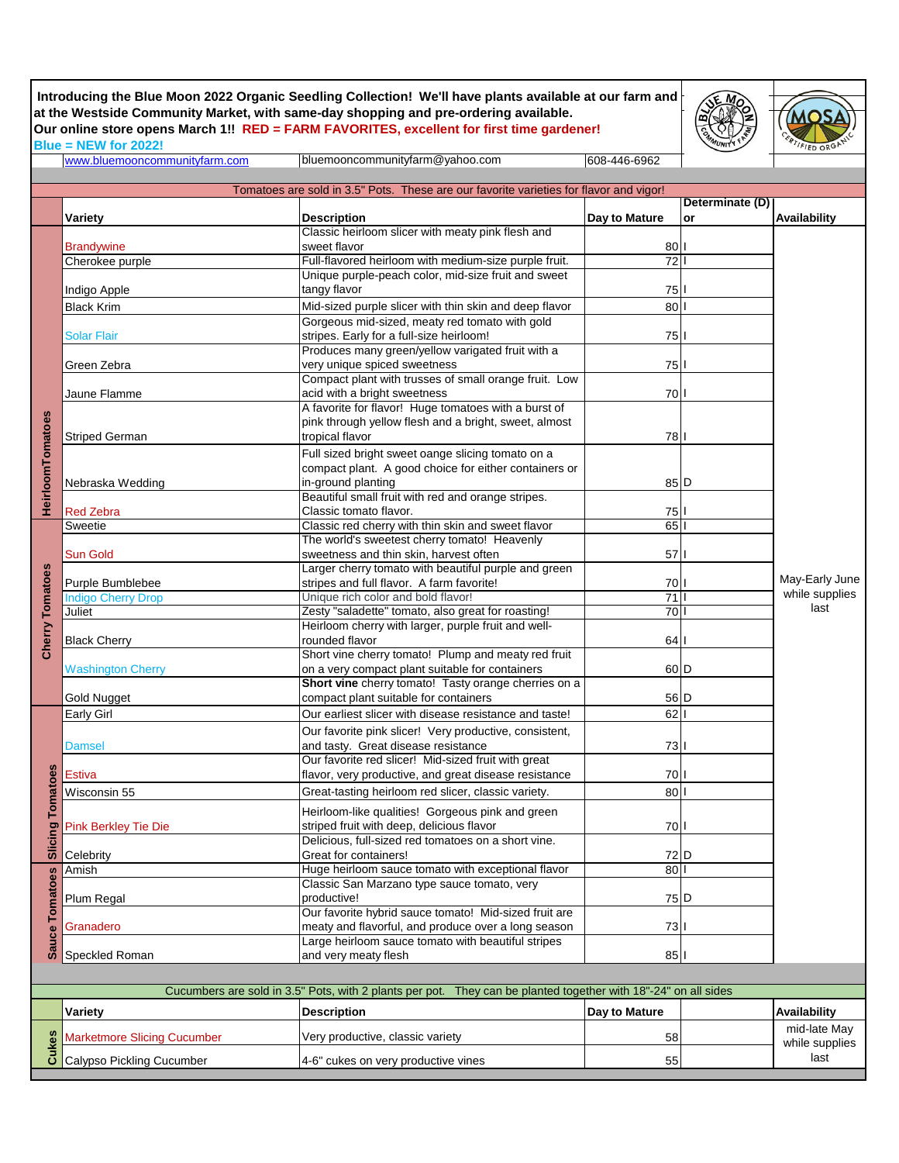**Introducing the Blue Moon 2022 Organic Seedling Collection! We'll have plants available at our farm and at the Westside Community Market, with same-day shopping and pre-ordering available. Our online store opens March 1!! RED = FARM FAVORITES, excellent for first time gardener! Blue = NEW for 2022!**



while supplies last

|                         | www.bluemooncommunityfarm.com      | bluemooncommunityfarm@yahoo.com                                                                                | 608-446-6962    |                 |                                          |
|-------------------------|------------------------------------|----------------------------------------------------------------------------------------------------------------|-----------------|-----------------|------------------------------------------|
|                         |                                    |                                                                                                                |                 |                 |                                          |
|                         |                                    | Tomatoes are sold in 3.5" Pots. These are our favorite varieties for flavor and vigor!                         |                 |                 |                                          |
|                         |                                    |                                                                                                                |                 | Determinate (D) |                                          |
|                         | Variety                            | <b>Description</b>                                                                                             | Day to Mature   | or              | Availability                             |
|                         |                                    | Classic heirloom slicer with meaty pink flesh and                                                              |                 |                 |                                          |
|                         | <b>Brandywine</b>                  | sweet flavor                                                                                                   | 80              |                 |                                          |
|                         | Cherokee purple                    | Full-flavored heirloom with medium-size purple fruit.                                                          | $\overline{72}$ |                 |                                          |
|                         |                                    | Unique purple-peach color, mid-size fruit and sweet                                                            |                 |                 |                                          |
|                         | Indigo Apple                       | tangy flavor                                                                                                   | 75              |                 |                                          |
|                         | <b>Black Krim</b>                  | Mid-sized purple slicer with thin skin and deep flavor                                                         | 80              |                 |                                          |
|                         |                                    | Gorgeous mid-sized, meaty red tomato with gold                                                                 |                 |                 |                                          |
|                         | <b>Solar Flair</b>                 | stripes. Early for a full-size heirloom!                                                                       | 75              |                 |                                          |
|                         |                                    | Produces many green/yellow varigated fruit with a                                                              |                 |                 |                                          |
|                         | Green Zebra                        | very unique spiced sweetness                                                                                   | 75              |                 |                                          |
|                         |                                    | Compact plant with trusses of small orange fruit. Low                                                          |                 |                 |                                          |
|                         | Jaune Flamme                       | acid with a bright sweetness                                                                                   | 70              |                 |                                          |
|                         |                                    | A favorite for flavor! Huge tomatoes with a burst of                                                           |                 |                 |                                          |
|                         |                                    | pink through yellow flesh and a bright, sweet, almost                                                          |                 |                 |                                          |
|                         | <b>Striped German</b>              | tropical flavor                                                                                                | 78 I            |                 |                                          |
| <b>HeirloomTomatoes</b> |                                    | Full sized bright sweet oange slicing tomato on a                                                              |                 |                 |                                          |
|                         |                                    | compact plant. A good choice for either containers or                                                          |                 |                 |                                          |
|                         | Nebraska Wedding                   | in-ground planting                                                                                             | 85 <sub>D</sub> |                 |                                          |
|                         | <b>Red Zebra</b>                   | Beautiful small fruit with red and orange stripes.                                                             |                 |                 |                                          |
|                         | Sweetie                            | Classic tomato flavor.<br>Classic red cherry with thin skin and sweet flavor                                   | 75<br>65        |                 |                                          |
|                         |                                    | The world's sweetest cherry tomato! Heavenly                                                                   |                 |                 |                                          |
|                         | Sun Gold                           | sweetness and thin skin, harvest often                                                                         | 57              |                 |                                          |
|                         |                                    | Larger cherry tomato with beautiful purple and green                                                           |                 |                 |                                          |
|                         | Purple Bumblebee                   | stripes and full flavor. A farm favorite!                                                                      | 70              |                 | May-Early June<br>while supplies<br>last |
|                         | <b>Indigo Cherry Drop</b>          | Unique rich color and bold flavor!                                                                             | $\overline{71}$ |                 |                                          |
| <b>Cherry Tomatoes</b>  | Juliet                             | Zesty "saladette" tomato, also great for roasting!                                                             | $\overline{70}$ |                 |                                          |
|                         |                                    | Heirloom cherry with larger, purple fruit and well-                                                            |                 |                 |                                          |
|                         | <b>Black Cherry</b>                | rounded flavor                                                                                                 | 64              |                 |                                          |
|                         |                                    | Short vine cherry tomato! Plump and meaty red fruit                                                            |                 |                 |                                          |
|                         | <b>Washington Cherry</b>           | on a very compact plant suitable for containers                                                                | 60 D            |                 |                                          |
|                         |                                    | Short vine cherry tomato! Tasty orange cherries on a                                                           |                 |                 |                                          |
|                         | Gold Nugget                        | compact plant suitable for containers                                                                          | 56 D            |                 |                                          |
|                         | Early Girl                         | Our earliest slicer with disease resistance and taste!                                                         | 62              |                 |                                          |
|                         |                                    | Our favorite pink slicer! Very productive, consistent,                                                         |                 |                 |                                          |
|                         | <b>Damsel</b>                      | and tasty. Great disease resistance                                                                            | 73              |                 |                                          |
|                         |                                    | Our favorite red slicer! Mid-sized fruit with great                                                            |                 |                 |                                          |
|                         | Estiva                             | flavor, very productive, and great disease resistance                                                          | 70              |                 |                                          |
| omatoes                 | Wisconsin 55                       | Great-tasting heirloom red slicer, classic variety.                                                            | 80              |                 |                                          |
|                         |                                    | Heirloom-like qualities! Gorgeous pink and green                                                               |                 |                 |                                          |
|                         | <b>Pink Berkley Tie Die</b>        | striped fruit with deep, delicious flavor                                                                      | 70              |                 |                                          |
| <b>Slicing</b>          |                                    | Delicious, full-sized red tomatoes on a short vine.                                                            |                 |                 |                                          |
|                         | Celebrity                          | Great for containers!                                                                                          | 72 D            |                 |                                          |
|                         | Amish                              | Huge heirloom sauce tomato with exceptional flavor                                                             | 80              |                 |                                          |
|                         |                                    | Classic San Marzano type sauce tomato, very                                                                    |                 |                 |                                          |
|                         | Plum Regal                         | productive!                                                                                                    | 75 D            |                 |                                          |
| <b>Sauce Tomatoes</b>   |                                    | Our favorite hybrid sauce tomato! Mid-sized fruit are                                                          |                 |                 |                                          |
|                         | Granadero                          | meaty and flavorful, and produce over a long season                                                            | 73              |                 |                                          |
|                         |                                    | Large heirloom sauce tomato with beautiful stripes                                                             |                 |                 |                                          |
|                         | Speckled Roman                     | and very meaty flesh                                                                                           | 85              |                 |                                          |
|                         |                                    |                                                                                                                |                 |                 |                                          |
|                         |                                    | Cucumbers are sold in 3.5" Pots, with 2 plants per pot. They can be planted together with 18"-24" on all sides |                 |                 |                                          |
|                         | Variety                            | <b>Description</b>                                                                                             | Day to Mature   |                 | Availability                             |
|                         |                                    |                                                                                                                |                 |                 | mid-late May                             |
| g.                      | <b>Marketmore Slicing Cucumber</b> | Very productive, classic variety                                                                               | 58              |                 | ubilo ounnlior                           |

Calypso Pickling Cucumber 155

**Cukes**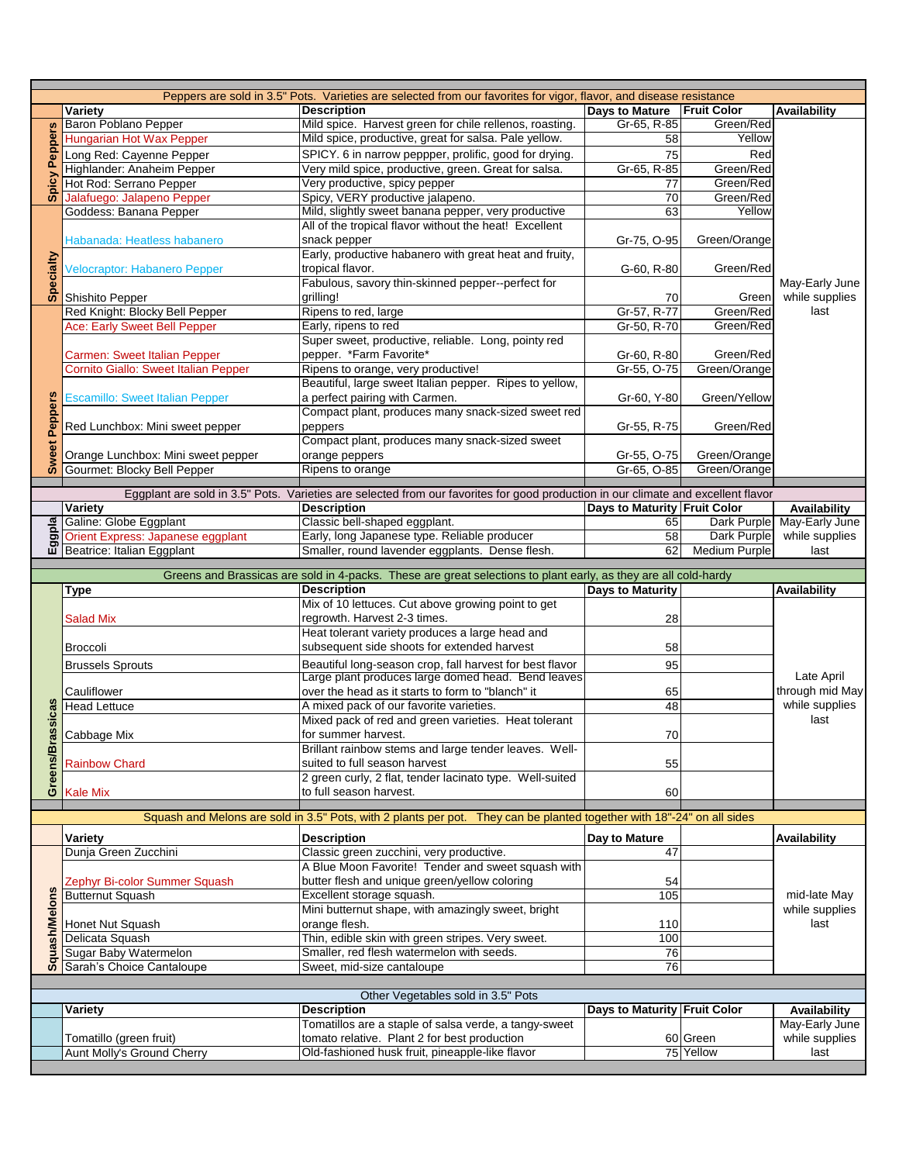|                               | Peppers are sold in 3.5" Pots. Varieties are selected from our favorites for vigor, flavor, and disease resistance |                                                                                                                                   |                              |                       |                                  |  |  |
|-------------------------------|--------------------------------------------------------------------------------------------------------------------|-----------------------------------------------------------------------------------------------------------------------------------|------------------------------|-----------------------|----------------------------------|--|--|
|                               | Variety                                                                                                            | <b>Description</b>                                                                                                                | <b>Days to Mature</b>        | <b>Fruit Color</b>    | <b>Availability</b>              |  |  |
| <b>SO</b><br>Pepper:<br>Spicy | <b>Baron Poblano Pepper</b>                                                                                        | Mild spice. Harvest green for chile rellenos, roasting.                                                                           | Gr-65, R-85                  | Green/Red             |                                  |  |  |
|                               | Hungarian Hot Wax Pepper                                                                                           | Mild spice, productive, great for salsa. Pale yellow.                                                                             | 58                           | Yellow                |                                  |  |  |
|                               | Long Red: Cayenne Pepper                                                                                           | SPICY. 6 in narrow peppper, prolific, good for drying.                                                                            | 75                           | Red                   |                                  |  |  |
|                               | Highlander: Anaheim Pepper                                                                                         | Very mild spice, productive, green. Great for salsa.                                                                              | Gr-65, R-85                  | Green/Red             |                                  |  |  |
|                               | Hot Rod: Serrano Pepper                                                                                            | Very productive, spicy pepper                                                                                                     | 77                           | Green/Red             |                                  |  |  |
|                               | Jalafuego: Jalapeno Pepper                                                                                         | Spicy, VERY productive jalapeno.                                                                                                  | $\overline{70}$              | Green/Red             |                                  |  |  |
|                               | Goddess: Banana Pepper                                                                                             | Mild, slightly sweet banana pepper, very productive                                                                               | 63                           | Yellow                |                                  |  |  |
|                               |                                                                                                                    | All of the tropical flavor without the heat! Excellent                                                                            |                              |                       |                                  |  |  |
|                               | Habanada: Heatless habanero                                                                                        | snack pepper                                                                                                                      | Gr-75, O-95                  | Green/Orange          |                                  |  |  |
|                               |                                                                                                                    | Early, productive habanero with great heat and fruity,                                                                            |                              |                       |                                  |  |  |
|                               | Velocraptor: Habanero Pepper                                                                                       | tropical flavor.                                                                                                                  | G-60, R-80                   | Green/Red             |                                  |  |  |
| Specialty                     |                                                                                                                    | Fabulous, savory thin-skinned pepper--perfect for                                                                                 |                              |                       | May-Early June<br>while supplies |  |  |
|                               | Shishito Pepper                                                                                                    | grilling!                                                                                                                         | 70                           | Green                 |                                  |  |  |
|                               | Red Knight: Blocky Bell Pepper                                                                                     | Ripens to red, large                                                                                                              | Gr-57, R-77                  | Green/Red             | last                             |  |  |
|                               | Ace: Early Sweet Bell Pepper                                                                                       | Early, ripens to red                                                                                                              | Gr-50, R-70                  | Green/Red             |                                  |  |  |
|                               |                                                                                                                    | Super sweet, productive, reliable. Long, pointy red                                                                               |                              |                       |                                  |  |  |
|                               | Carmen: Sweet Italian Pepper<br>Cornito Giallo: Sweet Italian Pepper                                               | pepper. *Farm Favorite*                                                                                                           | Gr-60, R-80                  | Green/Red             |                                  |  |  |
|                               |                                                                                                                    | Ripens to orange, very productive!<br>Beautiful, large sweet Italian pepper. Ripes to yellow,                                     | Gr-55, O-75                  | Green/Orange          |                                  |  |  |
|                               |                                                                                                                    | a perfect pairing with Carmen.                                                                                                    | Gr-60, Y-80                  | Green/Yellow          |                                  |  |  |
|                               | <b>Escamillo: Sweet Italian Pepper</b>                                                                             | Compact plant, produces many snack-sized sweet red                                                                                |                              |                       |                                  |  |  |
| <b>Peppers</b>                | Red Lunchbox: Mini sweet pepper                                                                                    | peppers                                                                                                                           |                              | Green/Red             |                                  |  |  |
|                               |                                                                                                                    | Compact plant, produces many snack-sized sweet                                                                                    | Gr-55, R-75                  |                       |                                  |  |  |
|                               | Orange Lunchbox: Mini sweet pepper                                                                                 | orange peppers                                                                                                                    | Gr-55, O-75                  | Green/Orange          |                                  |  |  |
| Sweet                         | Gourmet: Blocky Bell Pepper                                                                                        | Ripens to orange                                                                                                                  | Gr-65, O-85                  | Green/Orange          |                                  |  |  |
|                               |                                                                                                                    |                                                                                                                                   |                              |                       |                                  |  |  |
|                               |                                                                                                                    | Eggplant are sold in 3.5" Pots. Varieties are selected from our favorites for good production in our climate and excellent flavor |                              |                       |                                  |  |  |
|                               | Variety                                                                                                            | <b>Description</b>                                                                                                                | Days to Maturity Fruit Color |                       | Availability                     |  |  |
|                               | Galine: Globe Eggplant                                                                                             | Classic bell-shaped eggplant.                                                                                                     | 65                           | Dark Purple           | May-Early June                   |  |  |
| Eggpla                        | Orient Express: Japanese eggplant                                                                                  | Early, long Japanese type. Reliable producer                                                                                      | 58                           | Dark Purple           | while supplies                   |  |  |
|                               | Beatrice: Italian Eggplant                                                                                         | Smaller, round lavender eggplants. Dense flesh.                                                                                   | 62                           | <b>Medium Purple</b>  | last                             |  |  |
|                               |                                                                                                                    | Greens and Brassicas are sold in 4-packs. These are great selections to plant early, as they are all cold-hardy                   |                              |                       |                                  |  |  |
|                               |                                                                                                                    |                                                                                                                                   |                              |                       |                                  |  |  |
|                               |                                                                                                                    |                                                                                                                                   |                              |                       |                                  |  |  |
|                               | <b>Type</b>                                                                                                        | <b>Description</b>                                                                                                                | <b>Days to Maturity</b>      |                       | Availability                     |  |  |
|                               |                                                                                                                    | Mix of 10 lettuces. Cut above growing point to get                                                                                |                              |                       |                                  |  |  |
|                               | <b>Salad Mix</b>                                                                                                   | regrowth. Harvest 2-3 times.                                                                                                      | 28                           |                       |                                  |  |  |
|                               | <b>Broccoli</b>                                                                                                    | Heat tolerant variety produces a large head and<br>subsequent side shoots for extended harvest                                    | 58                           |                       |                                  |  |  |
|                               |                                                                                                                    |                                                                                                                                   |                              |                       |                                  |  |  |
|                               | <b>Brussels Sprouts</b>                                                                                            | Beautiful long-season crop, fall harvest for best flavor                                                                          | 95                           |                       | Late April                       |  |  |
|                               | Cauliflower                                                                                                        | Large plant produces large domed head. Bend leaves<br>over the head as it starts to form to "blanch" it                           | 65                           |                       | through mid May                  |  |  |
|                               | <b>Head Lettuce</b>                                                                                                | A mixed pack of our favorite varieties.                                                                                           | 48                           |                       | while supplies                   |  |  |
|                               |                                                                                                                    | Mixed pack of red and green varieties. Heat tolerant                                                                              |                              |                       | last                             |  |  |
| assicas                       | Cabbage Mix                                                                                                        | for summer harvest.                                                                                                               | 70                           |                       |                                  |  |  |
|                               |                                                                                                                    | Brillant rainbow stems and large tender leaves. Well-                                                                             |                              |                       |                                  |  |  |
|                               | <b>Rainbow Chard</b>                                                                                               | suited to full season harvest                                                                                                     | 55                           |                       |                                  |  |  |
|                               |                                                                                                                    | 2 green curly, 2 flat, tender lacinato type. Well-suited                                                                          |                              |                       |                                  |  |  |
| Greens/B                      | <b>Kale Mix</b>                                                                                                    | to full season harvest.                                                                                                           | 60                           |                       |                                  |  |  |
|                               |                                                                                                                    |                                                                                                                                   |                              |                       |                                  |  |  |
|                               |                                                                                                                    | Squash and Melons are sold in 3.5" Pots, with 2 plants per pot. They can be planted together with 18"-24" on all sides            |                              |                       |                                  |  |  |
|                               | Variety                                                                                                            | <b>Description</b>                                                                                                                | Day to Mature                |                       | <b>Availability</b>              |  |  |
|                               | Dunja Green Zucchini                                                                                               | Classic green zucchini, very productive.                                                                                          | 47                           |                       |                                  |  |  |
|                               |                                                                                                                    | A Blue Moon Favorite! Tender and sweet squash with                                                                                |                              |                       |                                  |  |  |
|                               | Zephyr Bi-color Summer Squash                                                                                      | butter flesh and unique green/yellow coloring                                                                                     | 54                           |                       |                                  |  |  |
|                               | <b>Butternut Squash</b>                                                                                            | Excellent storage squash.                                                                                                         | 105                          |                       | mid-late May                     |  |  |
|                               |                                                                                                                    | Mini butternut shape, with amazingly sweet, bright                                                                                |                              |                       | while supplies                   |  |  |
|                               | Honet Nut Squash                                                                                                   | orange flesh.                                                                                                                     | 110                          |                       | last                             |  |  |
|                               | Delicata Squash                                                                                                    | Thin, edible skin with green stripes. Very sweet.                                                                                 | 100                          |                       |                                  |  |  |
|                               | Sugar Baby Watermelon                                                                                              | Smaller, red flesh watermelon with seeds.                                                                                         | 76                           |                       |                                  |  |  |
| <b>Squash/Melons</b>          | Sarah's Choice Cantaloupe                                                                                          | Sweet, mid-size cantaloupe                                                                                                        | 76                           |                       |                                  |  |  |
|                               |                                                                                                                    |                                                                                                                                   |                              |                       |                                  |  |  |
|                               |                                                                                                                    | Other Vegetables sold in 3.5" Pots                                                                                                |                              |                       |                                  |  |  |
|                               | Variety                                                                                                            | <b>Description</b>                                                                                                                | Days to Maturity Fruit Color |                       | Availability                     |  |  |
|                               |                                                                                                                    | Tomatillos are a staple of salsa verde, a tangy-sweet                                                                             |                              |                       | May-Early June                   |  |  |
|                               | Tomatillo (green fruit)<br>Aunt Molly's Ground Cherry                                                              | tomato relative. Plant 2 for best production<br>Old-fashioned husk fruit, pineapple-like flavor                                   |                              | 60 Green<br>75 Yellow | while supplies<br>last           |  |  |